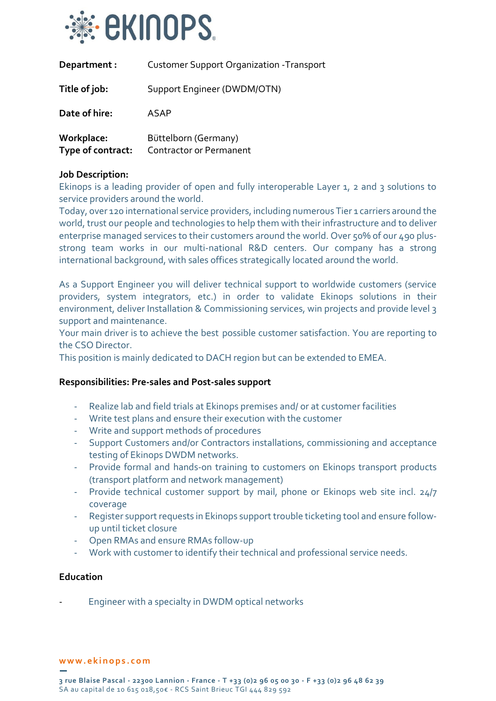

| Department :                    | <b>Customer Support Organization - Transport</b>       |
|---------------------------------|--------------------------------------------------------|
| Title of job:                   | Support Engineer (DWDM/OTN)                            |
| Date of hire:                   | ASAP                                                   |
| Workplace:<br>Type of contract: | Büttelborn (Germany)<br><b>Contractor or Permanent</b> |

## **Job Description:**

Ekinops is a leading provider of open and fully interoperable Layer 1, 2 and 3 solutions to service providers around the world.

Today, over 120 international service providers, including numerous Tier 1 carriers around the world, trust our people and technologies to help them with their infrastructure and to deliver enterprise managed services to their customers around the world. Over 50% of our 490 plusstrong team works in our multi-national R&D centers. Our company has a strong international background, with sales offices strategically located around the world.

As a Support Engineer you will deliver technical support to worldwide customers (service providers, system integrators, etc.) in order to validate Ekinops solutions in their environment, deliver Installation & Commissioning services, win projects and provide level 3 support and maintenance.

Your main driver is to achieve the best possible customer satisfaction. You are reporting to the CSO Director.

This position is mainly dedicated to DACH region but can be extended to EMEA.

## **Responsibilities: Pre-sales and Post-sales support**

- Realize lab and field trials at Ekinops premises and/ or at customer facilities
- Write test plans and ensure their execution with the customer
- Write and support methods of procedures
- Support Customers and/or Contractors installations, commissioning and acceptance testing of Ekinops DWDM networks.
- Provide formal and hands-on training to customers on Ekinops transport products (transport platform and network management)
- Provide technical customer support by mail, phone or Ekinops web site incl. 24/7 coverage
- Register support requests in Ekinops support trouble ticketing tool and ensure followup until ticket closure
- Open RMAs and ensure RMAs follow-up
- Work with customer to identify their technical and professional service needs.

## **Education**

Engineer with a specialty in DWDM optical networks

#### **w w w . e k i n o p s . c o m**